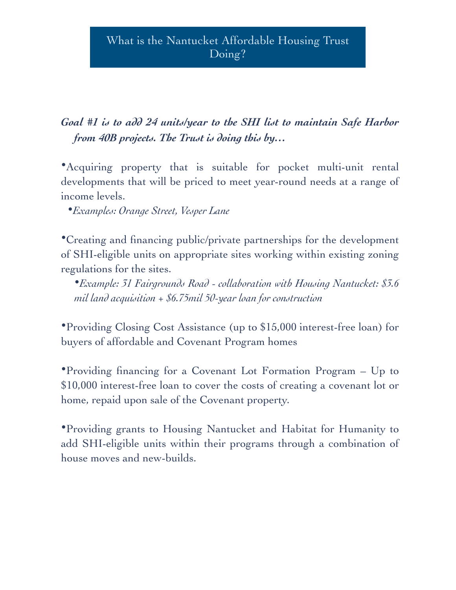# *Goal #1 is to add 24 units/year to the SHI list to maintain Safe Harbor from 40B projects. The Trust is doing this by…*

•Acquiring property that is suitable for pocket multi-unit rental developments that will be priced to meet year-round needs at a range of income levels.

•*Examples: Orange Street, Vesper Lane*

•Creating and financing public/private partnerships for the development of SHI-eligible units on appropriate sites working within existing zoning regulations for the sites.

•*Example: 31 Fairgrounds Road - collaboration with Housing Nantucket: \$3.6 mil land acquisition + \$6.75mil 50-year loan for construction*

•Providing Closing Cost Assistance (up to \$15,000 interest-free loan) for buyers of affordable and Covenant Program homes

•Providing financing for a Covenant Lot Formation Program – Up to \$10,000 interest-free loan to cover the costs of creating a covenant lot or home, repaid upon sale of the Covenant property.

•Providing grants to Housing Nantucket and Habitat for Humanity to add SHI-eligible units within their programs through a combination of house moves and new-builds.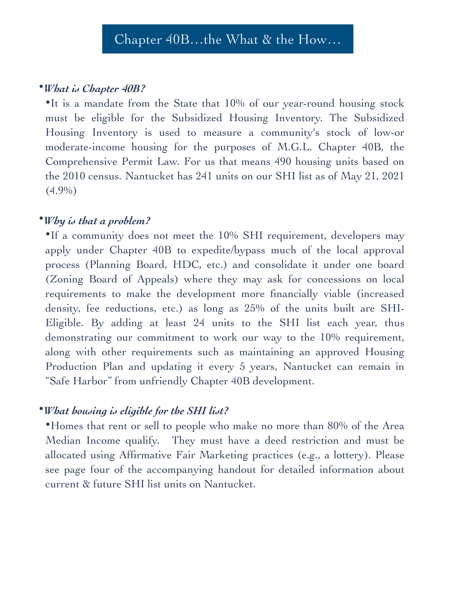#### •*What is Chapter 40B?*

•It is a mandate from the State that 10% of our year-round housing stock must be eligible for the Subsidized Housing Inventory. The Subsidized Housing Inventory is used to measure a community's stock of low-or moderate-income housing for the purposes of M.G.L. Chapter 40B, the Comprehensive Permit Law. For us that means 490 housing units based on the 2010 census. Nantucket has 241 units on our SHI list as of May 21, 2021  $(4.9\%)$ 

## •*Why is that a problem?*

•If a community does not meet the 10% SHI requirement, developers may apply under Chapter 40B to expedite/bypass much of the local approval process (Planning Board, HDC, etc.) and consolidate it under one board (Zoning Board of Appeals) where they may ask for concessions on local requirements to make the development more financially viable (increased density, fee reductions, etc.) as long as 25% of the units built are SHI-Eligible. By adding at least 24 units to the SHI list each year, thus demonstrating our commitment to work our way to the 10% requirement, along with other requirements such as maintaining an approved Housing Production Plan and updating it every 5 years, Nantucket can remain in "Safe Harbor" from unfriendly Chapter 40B development.

## •*What housing is eligible for the SHI list?*

•Homes that rent or sell to people who make no more than 80% of the Area Median Income qualify. They must have a deed restriction and must be allocated using Affirmative Fair Marketing practices (e.g., a lottery). Please see page four of the accompanying handout for detailed information about current & future SHI list units on Nantucket.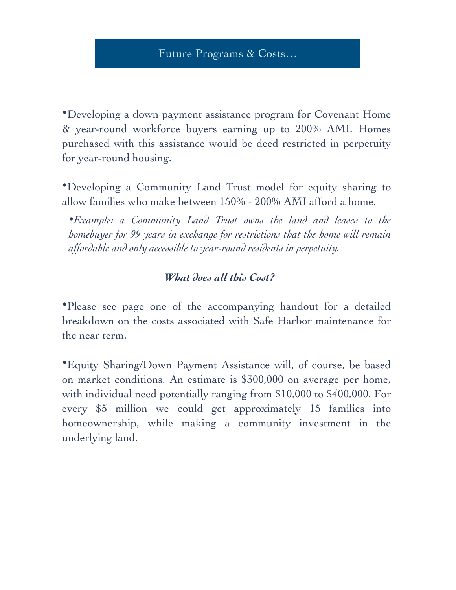•Developing a down payment assistance program for Covenant Home & year-round workforce buyers earning up to 200% AMI. Homes purchased with this assistance would be deed restricted in perpetuity for year-round housing.

•Developing a Community Land Trust model for equity sharing to allow families who make between 150% - 200% AMI afford a home.

•*Example: a Community Land Trust owns the land and leases to the homebuyer for 99 years in exchange for restrictions that the home will remain affordable and only accessible to year-round residents in perpetuity.*

#### *What does all this Cost?*

•Please see page one of the accompanying handout for a detailed breakdown on the costs associated with Safe Harbor maintenance for the near term.

•Equity Sharing/Down Payment Assistance will, of course, be based on market conditions. An estimate is \$300,000 on average per home, with individual need potentially ranging from \$10,000 to \$400,000. For every \$5 million we could get approximately 15 families into homeownership, while making a community investment in the underlying land.